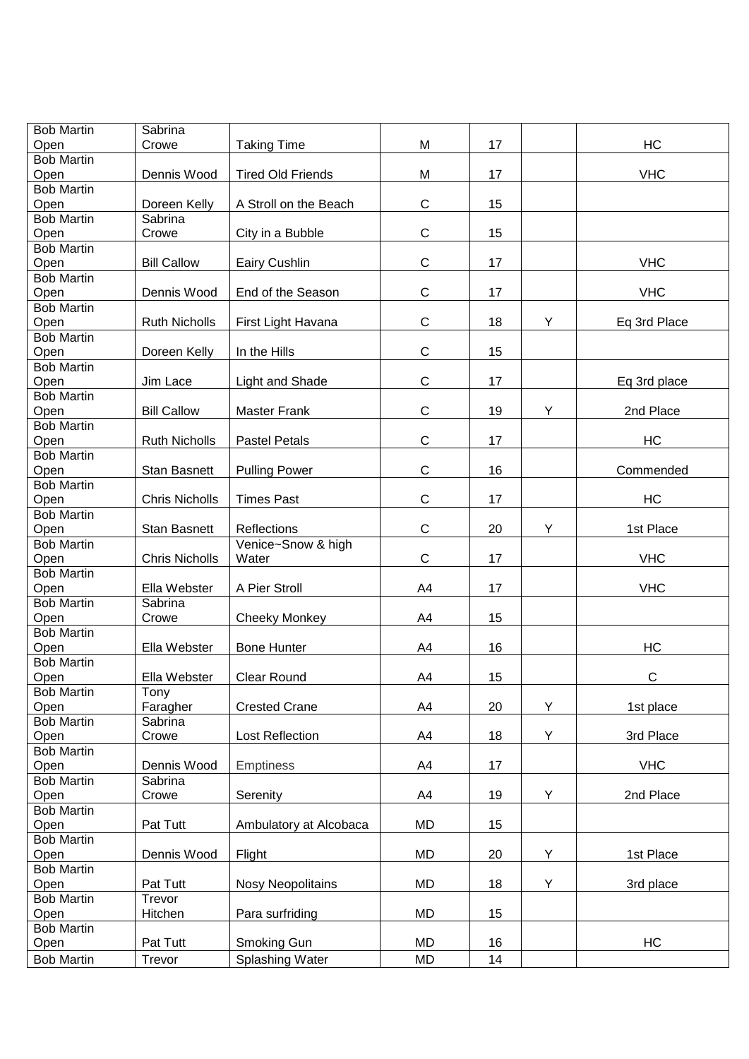| <b>Bob Martin</b> | Sabrina               |                          |              |    |   |              |
|-------------------|-----------------------|--------------------------|--------------|----|---|--------------|
| Open              | Crowe                 | <b>Taking Time</b>       | M            | 17 |   | HC           |
| <b>Bob Martin</b> |                       |                          |              |    |   |              |
| Open              | Dennis Wood           | <b>Tired Old Friends</b> | M            | 17 |   | <b>VHC</b>   |
| <b>Bob Martin</b> |                       |                          |              |    |   |              |
| Open              | Doreen Kelly          | A Stroll on the Beach    | $\mathsf C$  | 15 |   |              |
| <b>Bob Martin</b> | Sabrina               |                          |              |    |   |              |
| Open              | Crowe                 | City in a Bubble         | $\mathsf C$  | 15 |   |              |
| <b>Bob Martin</b> |                       |                          |              |    |   |              |
| Open              | <b>Bill Callow</b>    | Eairy Cushlin            | $\mathsf C$  | 17 |   | <b>VHC</b>   |
| <b>Bob Martin</b> |                       |                          |              |    |   |              |
| Open              | Dennis Wood           | End of the Season        | $\mathsf C$  | 17 |   | <b>VHC</b>   |
| <b>Bob Martin</b> |                       |                          |              |    |   |              |
| Open              | <b>Ruth Nicholls</b>  | First Light Havana       | $\mathsf C$  | 18 | Υ | Eq 3rd Place |
| <b>Bob Martin</b> |                       |                          |              |    |   |              |
| Open              | Doreen Kelly          | In the Hills             | $\mathsf C$  | 15 |   |              |
| <b>Bob Martin</b> |                       |                          |              |    |   |              |
| Open              | Jim Lace              | Light and Shade          | $\mathsf C$  | 17 |   | Eq 3rd place |
| <b>Bob Martin</b> |                       |                          |              |    |   |              |
| Open              | <b>Bill Callow</b>    | <b>Master Frank</b>      | $\mathsf C$  | 19 | Υ | 2nd Place    |
| <b>Bob Martin</b> |                       |                          |              |    |   |              |
| Open              | <b>Ruth Nicholls</b>  | <b>Pastel Petals</b>     | $\mathsf C$  | 17 |   | HC           |
| <b>Bob Martin</b> |                       |                          |              |    |   |              |
| Open              | <b>Stan Basnett</b>   | <b>Pulling Power</b>     | $\mathsf C$  | 16 |   | Commended    |
| <b>Bob Martin</b> |                       |                          |              |    |   |              |
| Open              | <b>Chris Nicholls</b> | <b>Times Past</b>        | $\mathsf C$  | 17 |   | HC           |
| <b>Bob Martin</b> |                       |                          |              |    |   |              |
| Open              | Stan Basnett          | Reflections              | $\mathsf{C}$ | 20 | Υ | 1st Place    |
| <b>Bob Martin</b> |                       | Venice~Snow & high       |              |    |   |              |
| Open              | <b>Chris Nicholls</b> | Water                    | $\mathsf{C}$ | 17 |   | <b>VHC</b>   |
| <b>Bob Martin</b> |                       |                          |              |    |   |              |
| Open              | Ella Webster          | A Pier Stroll            | A4           | 17 |   | <b>VHC</b>   |
| <b>Bob Martin</b> | Sabrina               |                          |              |    |   |              |
| Open              | Crowe                 | <b>Cheeky Monkey</b>     | A4           | 15 |   |              |
| <b>Bob Martin</b> |                       |                          |              |    |   |              |
| Open              | Ella Webster          | <b>Bone Hunter</b>       | A4           | 16 |   | HC           |
| <b>Bob Martin</b> |                       |                          |              |    |   |              |
| Open              | Ella Webster          | <b>Clear Round</b>       | A4           | 15 |   | $\mathsf{C}$ |
| <b>Bob Martin</b> | Tony                  |                          |              |    |   |              |
| Open              | Faragher              | <b>Crested Crane</b>     | A4           | 20 | Y | 1st place    |
| <b>Bob Martin</b> | Sabrina               |                          |              |    |   |              |
| Open              | Crowe                 | <b>Lost Reflection</b>   | A4           | 18 | Υ | 3rd Place    |
| <b>Bob Martin</b> |                       |                          |              |    |   |              |
| Open              | Dennis Wood           | <b>Emptiness</b>         | A4           | 17 |   | <b>VHC</b>   |
| <b>Bob Martin</b> | Sabrina               |                          |              |    |   |              |
| Open              | Crowe                 | Serenity                 | A4           | 19 | Υ | 2nd Place    |
| <b>Bob Martin</b> |                       |                          |              |    |   |              |
| Open              | Pat Tutt              | Ambulatory at Alcobaca   | MD           | 15 |   |              |
| <b>Bob Martin</b> |                       |                          |              |    |   |              |
| Open              | Dennis Wood           | Flight                   | MD           | 20 | Υ | 1st Place    |
| <b>Bob Martin</b> |                       |                          |              |    |   |              |
| Open              | Pat Tutt              | <b>Nosy Neopolitains</b> | MD           | 18 | Υ | 3rd place    |
| <b>Bob Martin</b> | Trevor                |                          |              |    |   |              |
| Open              | Hitchen               | Para surfriding          | MD           | 15 |   |              |
| <b>Bob Martin</b> |                       |                          |              |    |   |              |
| Open              | Pat Tutt              | Smoking Gun              | MD           | 16 |   | HC           |
| <b>Bob Martin</b> | Trevor                | Splashing Water          | MD           | 14 |   |              |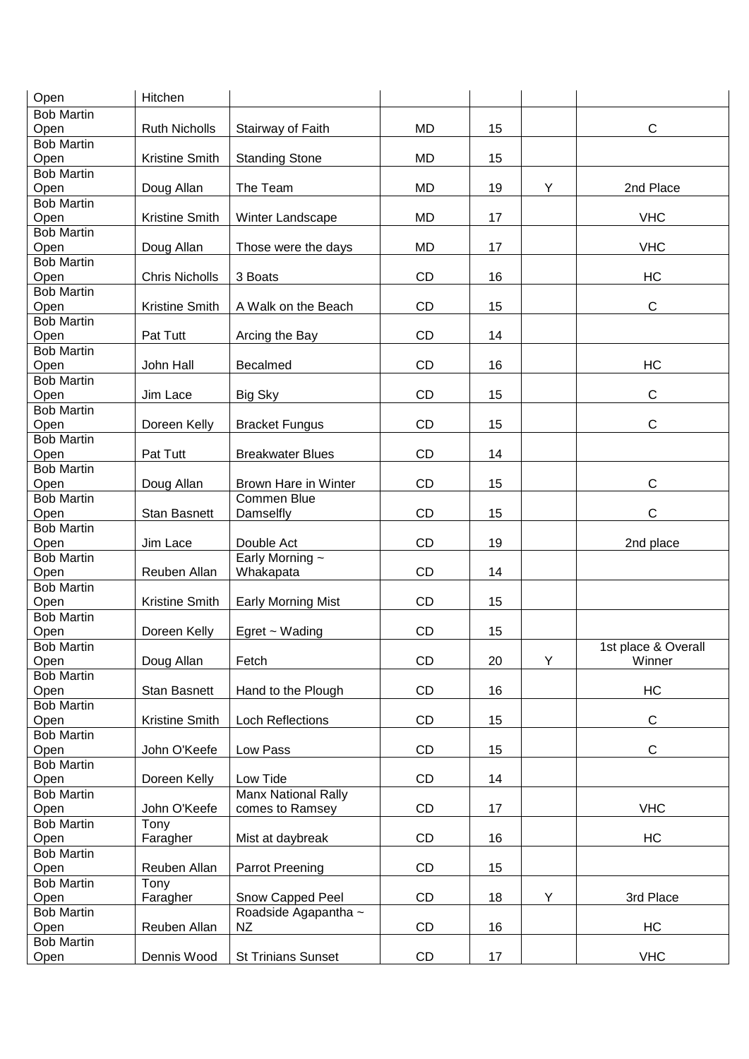| Open                      | Hitchen               |                            |           |    |   |                     |
|---------------------------|-----------------------|----------------------------|-----------|----|---|---------------------|
| <b>Bob Martin</b>         |                       |                            |           |    |   |                     |
| Open                      | <b>Ruth Nicholls</b>  | Stairway of Faith          | <b>MD</b> | 15 |   | $\mathsf{C}$        |
| <b>Bob Martin</b>         |                       |                            |           |    |   |                     |
| Open                      | Kristine Smith        | <b>Standing Stone</b>      | MD        | 15 |   |                     |
| <b>Bob Martin</b>         |                       |                            |           |    |   |                     |
| Open                      | Doug Allan            | The Team                   | <b>MD</b> | 19 | Y | 2nd Place           |
| <b>Bob Martin</b>         |                       |                            |           |    |   |                     |
| Open                      | Kristine Smith        | Winter Landscape           | MD        | 17 |   | <b>VHC</b>          |
| <b>Bob Martin</b>         |                       |                            |           |    |   |                     |
| Open                      | Doug Allan            | Those were the days        | MD        | 17 |   | <b>VHC</b>          |
| <b>Bob Martin</b>         |                       |                            |           |    |   |                     |
| Open                      | <b>Chris Nicholls</b> | 3 Boats                    | <b>CD</b> | 16 |   | HC                  |
| <b>Bob Martin</b>         |                       |                            |           |    |   |                     |
| Open                      | Kristine Smith        | A Walk on the Beach        | <b>CD</b> | 15 |   | $\mathsf{C}$        |
| <b>Bob Martin</b>         |                       |                            |           |    |   |                     |
| Open                      | Pat Tutt              | Arcing the Bay             | <b>CD</b> | 14 |   |                     |
| <b>Bob Martin</b>         |                       |                            |           |    |   |                     |
| Open                      | John Hall             | <b>Becalmed</b>            | <b>CD</b> | 16 |   | <b>HC</b>           |
| <b>Bob Martin</b>         |                       |                            |           |    |   |                     |
| Open                      | Jim Lace              | <b>Big Sky</b>             | <b>CD</b> | 15 |   | $\mathsf{C}$        |
| <b>Bob Martin</b>         |                       |                            |           |    |   |                     |
| Open                      | Doreen Kelly          | <b>Bracket Fungus</b>      | CD        | 15 |   | $\mathsf{C}$        |
| <b>Bob Martin</b>         |                       |                            |           |    |   |                     |
| Open                      | Pat Tutt              | <b>Breakwater Blues</b>    | CD        | 14 |   |                     |
| <b>Bob Martin</b>         |                       |                            |           |    |   |                     |
| Open                      | Doug Allan            | Brown Hare in Winter       | <b>CD</b> | 15 |   | $\mathsf{C}$        |
| <b>Bob Martin</b>         |                       | Commen Blue                |           |    |   |                     |
|                           |                       |                            |           |    |   | $\mathsf{C}$        |
| Open<br><b>Bob Martin</b> | <b>Stan Basnett</b>   | Damselfly                  | CD        | 15 |   |                     |
| Open                      | Jim Lace              | Double Act                 | CD        | 19 |   |                     |
| <b>Bob Martin</b>         |                       | Early Morning ~            |           |    |   | 2nd place           |
| Open                      | Reuben Allan          | Whakapata                  | CD        | 14 |   |                     |
| <b>Bob Martin</b>         |                       |                            |           |    |   |                     |
|                           |                       |                            |           |    |   |                     |
|                           |                       |                            |           |    |   |                     |
| Open                      | Kristine Smith        | <b>Early Morning Mist</b>  | CD        | 15 |   |                     |
| <b>Bob Martin</b>         |                       |                            |           |    |   |                     |
| Open                      | Doreen Kelly          | Egret ~ Wading             | CD        | 15 |   |                     |
| <b>Bob Martin</b>         |                       |                            |           |    |   | 1st place & Overall |
| Open                      | Doug Allan            | Fetch                      | CD        | 20 | Y | Winner              |
| <b>Bob Martin</b>         |                       |                            |           |    |   |                     |
| Open                      | Stan Basnett          | Hand to the Plough         | CD        | 16 |   | HC                  |
| <b>Bob Martin</b>         |                       |                            |           |    |   |                     |
| Open                      | Kristine Smith        | <b>Loch Reflections</b>    | CD        | 15 |   | $\mathbf C$         |
| <b>Bob Martin</b>         |                       |                            |           |    |   |                     |
| Open                      | John O'Keefe          | Low Pass                   | CD        | 15 |   | $\mathsf C$         |
| <b>Bob Martin</b>         |                       |                            |           |    |   |                     |
| Open                      | Doreen Kelly          | Low Tide                   | CD        | 14 |   |                     |
| <b>Bob Martin</b>         |                       | <b>Manx National Rally</b> |           |    |   |                     |
| Open                      | John O'Keefe          | comes to Ramsey            | CD        | 17 |   | <b>VHC</b>          |
| <b>Bob Martin</b>         | Tony                  |                            |           |    |   |                     |
| Open                      | Faragher              | Mist at daybreak           | CD        | 16 |   | HC                  |
| <b>Bob Martin</b>         |                       |                            |           |    |   |                     |
| Open                      | Reuben Allan          | Parrot Preening            | CD        | 15 |   |                     |
| <b>Bob Martin</b>         | Tony                  |                            |           |    |   |                     |
| Open                      | Faragher              | Snow Capped Peel           | CD        | 18 | Y | 3rd Place           |
| <b>Bob Martin</b>         |                       | Roadside Agapantha ~       |           |    |   |                     |
| Open                      | Reuben Allan          | <b>NZ</b>                  | CD        | 16 |   | HC                  |
| <b>Bob Martin</b>         |                       |                            | CD        |    |   | <b>VHC</b>          |